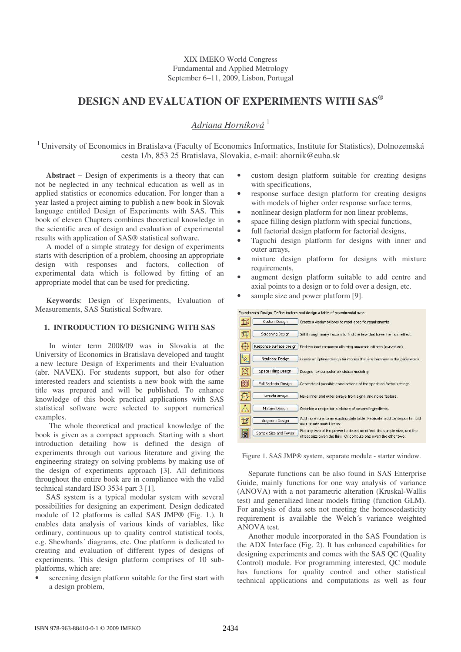# **DESIGN AND EVALUATION OF EXPERIMENTS WITH SAS** *®*

# *Adriana Horníková* 1

<sup>1</sup> University of Economics in Bratislava (Faculty of Economics Informatics, Institute for Statistics), Dolnozemská cesta 1/b, 853 25 Bratislava, Slovakia, e-mail: ahornik@euba.sk

**Abstract** − Design of experiments is a theory that can not be neglected in any technical education as well as in applied statistics or economics education. For longer than a year lasted a project aiming to publish a new book in Slovak language entitled Design of Experiments with SAS. This book of eleven Chapters combines theoretical knowledge in the scientific area of design and evaluation of experimental results with application of SAS*®* statistical software.

A model of a simple strategy for design of experiments starts with description of a problem, choosing an appropriate design with responses and factors, collection of experimental data which is followed by fitting of an appropriate model that can be used for predicting.

**Keywords**: Design of Experiments, Evaluation of Measurements, SAS Statistical Software.

# **1. INTRODUCTION TO DESIGNING WITH SAS**

In winter term 2008/09 was in Slovakia at the University of Economics in Bratislava developed and taught a new lecture Design of Experiments and their Evaluation (abr. NAVEX). For students support, but also for other interested readers and scientists a new book with the same title was prepared and will be published. To enhance knowledge of this book practical applications with SAS statistical software were selected to support numerical examples.

The whole theoretical and practical knowledge of the book is given as a compact approach. Starting with a short introduction detailing how is defined the design of experiments through out various literature and giving the engineering strategy on solving problems by making use of the design of experiments approach [3]. All definitions throughout the entire book are in compliance with the valid technical standard ISO 3534 part 3 [1].

SAS system is a typical modular system with several possibilities for designing an experiment. Design dedicated module of 12 platforms is called SAS JMP*®* (Fig. 1.). It enables data analysis of various kinds of variables, like ordinary, continuous up to quality control statistical tools, e.g. Shewhards´ diagrams, etc. One platform is dedicated to creating and evaluation of different types of designs of experiments. This design platform comprises of 10 subplatforms, which are:

screening design platform suitable for the first start with a design problem,

- custom design platform suitable for creating designs with specifications,
- response surface design platform for creating designs with models of higher order response surface terms,
- nonlinear design platform for non linear problems,
- space filling design platform with special functions,
- full factorial design platform for factorial designs,
- Taguchi design platform for designs with inner and outer arrays,
- mixture design platform for designs with mixture requirements,
- augment design platform suitable to add centre and axial points to a design or to fold over a design, etc.
- sample size and power platform [9].

| ixperimental Design. Define factors and design a table of experimental runs. |  |  |  |
|------------------------------------------------------------------------------|--|--|--|
|                                                                              |  |  |  |

|    | Custom Design           | Create a design tailored to meet specific requirements.                                                                                     |
|----|-------------------------|---------------------------------------------------------------------------------------------------------------------------------------------|
|    | Screening Design        | Sift through many factors to find the few that have the most effect.                                                                        |
| Æ  | Response Surface Design | Find the best response allowing quadratic effects (curvature).                                                                              |
|    | Nonlinear Design        | Create an optimal design for models that are nonlinear in the parameters.                                                                   |
|    | Space Filling Design    | Designs for computer simulation modeling.                                                                                                   |
|    | Full Factorial Design   | Generate all possible combinations of the specified factor settings.                                                                        |
|    | Taquchi Arrays          | Make inner and outer arrays from signal and noise factors.                                                                                  |
|    | Mixture Design          | Optimize a recipe for a mixture of several ingredients.                                                                                     |
| Ħ  | Augment Design:         | Add more runs to an existing data table. Replicate, add centerpoints, fold<br>over or add model terms.                                      |
| 88 | Sample Size and Power   | Plot any two of the power to detect an effect, the sample size, and the<br>effect size given the third. Or compute one given the other two. |

Figure 1. SAS JMP® system, separate module - starter window.

Separate functions can be also found in SAS Enterprise Guide, mainly functions for one way analysis of variance (ANOVA) with a not parametric alteration (Kruskal-Wallis test) and generalized linear models fitting (function GLM). For analysis of data sets not meeting the homoscedasticity requirement is available the Welch´s variance weighted ANOVA test.

Another module incorporated in the SAS Foundation is the ADX Interface (Fig. 2). It has enhanced capabilities for designing experiments and comes with the SAS QC (Quality Control) module. For programming interested, QC module has functions for quality control and other statistical technical applications and computations as well as four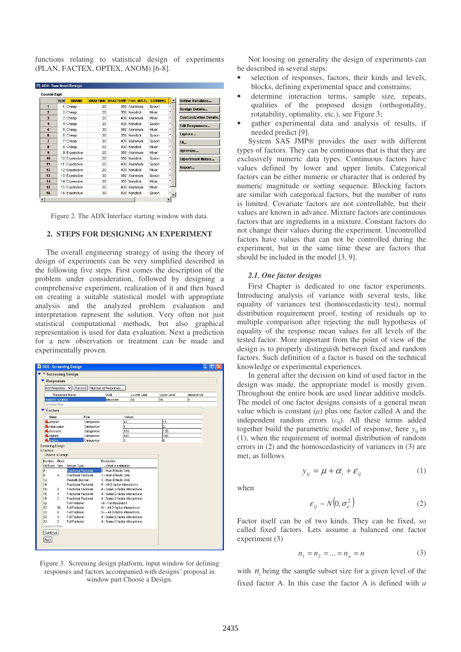functions relating to statistical design of experiments (PLAN, FACTEX, OPTEX, ANOM) [6-8].

|                         | <b>RUN</b> | <b>BRAND</b> | <b>BAKETIME</b> | <b>BAKETEMP PAN MATL</b> | <b>STIRRING</b> | ۸         | Define Variables              |
|-------------------------|------------|--------------|-----------------|--------------------------|-----------------|-----------|-------------------------------|
| $\overline{\mathbf{1}}$ |            | 1 Cheap      | 20              | 350 Aluminum             | Spoon           | $\bullet$ | <b>Design Details</b>         |
| $\overline{2}$          |            | 2 Cheap      | 20 <sup>1</sup> | 350 Nonstick             | Mixer           | ×         |                               |
| $\overline{\mathbf{3}}$ |            | 3 Cheap      | 20              | 400 Aluminum             | Mixer           | $\star$   | <b>Customization Details.</b> |
| $\ddot{4}$              |            | 4 Cheap      | 20              | 400 Nonstick             | Spoon           | $\star$   | <b>Edit Responses</b>         |
| 5                       |            | 5 Cheap      | 30              | 350 Aluminum             | Mixer           | ×.        |                               |
| ĥ                       |            | 6 Cheap      | 30              | 350 Nonstick             | Spoon           | ×.        | Explore                       |
| $\overline{1}$          |            | 7 Cheap      | 30              | 400 Aluminum             | Spoon           | $\star$   | Fit                           |
| $\overline{\mathbf{a}}$ |            | 8 Cheap      | 30              | 400 Nonstick             | Mixer           | $\star$   | Optimize                      |
| 9                       |            | 9 Expensive  | 20              | 350 Aluminum             | Mixer           | ±.        |                               |
| 10                      |            | 10 Expensive | 20 <sub>1</sub> | 350 Nonstick             | Spoon           | ź.        | <b>Experiment Notes</b>       |
| 11                      | 11         | Expensive    | 20              | 400 Aluminum             | Spoon           | $\star$   |                               |
| 12                      |            | 12 Expensive | 20              | 400 Nonstick             | Mixer           | $\star$   | Report                        |
| 13                      |            | 13 Expensive | 30              | 350 Aluminum             | Spoon           | ×.        |                               |
| 14                      |            | 14 Expensive | 30              | 350 Nonstick             | Mixer           | ź.        |                               |
| 15                      |            | 15 Expensive | 30              | 400 Aluminum             | Mixer           | $t -$     |                               |
| 16                      |            | 16 Expensive | 30              | 400 Nonstick             | Spoon           |           |                               |

Figure 2. The ADX Interface starting window with data.

## **2. STEPS FOR DESIGNING AN EXPERIMENT**

The overall engineering strategy of using the theory of design of experiments can be very simplified described in the following five steps. First comes the description of the problem under consideration, followed by designing a comprehensive experiment, realization of it and then based on creating a suitable statistical model with appropriate analysis and the analyzed problem evaluation and interpretation represent the solution. Very often not just statistical computational methods, but also graphical representation is used for data evaluation. Next a prediction for a new observation or treatment can be made and experimentally proven.



Figure 3. Screening design platform, input window for defining responses and factors accompanied with designs´ proposal in window part Choose a Design.

Not loosing on generality the design of experiments can be described in several steps:

- selection of responses, factors, their kinds and levels, blocks, defining experimental space and constrains;
- determine interaction terms, sample size, repeats, qualities of the proposed design (orthogonality, rotatability, optimality, etc.), see Figure 3;
- gather experimental data and analysis of results, if needed predict [9].

System SAS JMP*®* provides the user with different types of factors. They can be continuous that is that they are exclusively numeric data types. Continuous factors have values defined by lower and upper limits. Categorical factors can be either numeric or character that is ordered by numeric magnitude or sorting sequence. Blocking factors are similar with categorical factors, but the number of runs is limited. Covariate factors are not controllable, but their values are known in advance. Mixture factors are continuous factors that are ingredients in a mixture. Constant factors do not change their values during the experiment. Uncontrolled factors have values that can not be controlled during the experiment, but in the same time these are factors that should be included in the model [3, 9].

### *2.1. One factor designs*

First Chapter is dedicated to one factor experiments. Introducing analysis of variance with several tests, like equality of variances test (homoscedasticity test), normal distribution requirement proof, testing of residuals up to multiple comparison after rejecting the null hypothesis of equality of the response mean values for all levels of the tested factor. More important from the point of view of the design is to properly distinguish between fixed and random factors. Such definition of a factor is based on the technical knowledge or experimental experiences.

In general after the decision on kind of used factor in the design was made, the appropriate model is mostly given. Throughout the entire book are used linear additive models. The model of one factor designs consists of a general mean value which is constant  $(\mu)$  plus one factor called A and the independent random errors  $(\varepsilon_{ij})$ . All these terms added together build the parametric model of response, here  $y_{ij}$  in (1), when the requirement of normal distribution of random errors in (2) and the homoscedasticity of variances in (3) are met, as follows

when

$$
y_{ij} = \mu + \alpha_i + \varepsilon_{ij} \tag{1}
$$

$$
\varepsilon_{ij} \sim N\left(0, \sigma_e^2\right) \tag{2}
$$

Factor itself can be of two kinds. They can be fixed, so called fixed factors. Lets assume a balanced one factor experiment (3)

$$
n_1 = n_2 = \dots = n_a = n \tag{3}
$$

with  $n_i$  being the sample subset size for a given level of the fixed factor A. In this case the factor A is defined with *a*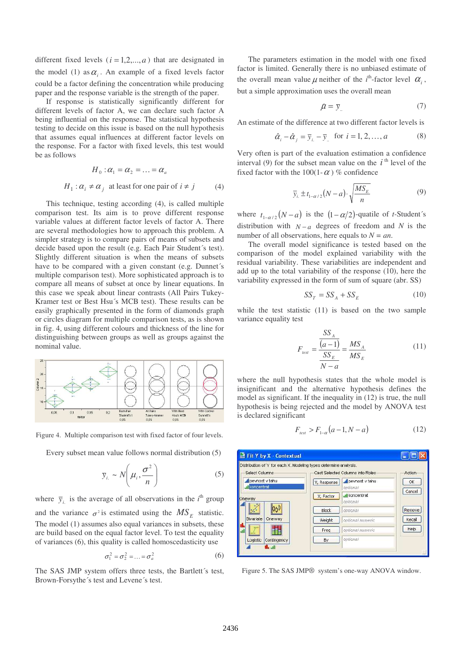different fixed levels  $(i = 1,2,...,a)$  that are designated in the model (1) as  $\alpha$ <sub>i</sub>. An example of a fixed levels factor could be a factor defining the concentration while producing paper and the response variable is the strength of the paper.

If response is statistically significantly different for different levels of factor A, we can declare such factor A being influential on the response. The statistical hypothesis testing to decide on this issue is based on the null hypothesis that assumes equal influences at different factor levels on the response. For a factor with fixed levels, this test would be as follows

$$
H_0: \alpha_1 = \alpha_2 = \dots = \alpha_a
$$
  

$$
H_1: \alpha_i \neq \alpha_j \text{ at least for one pair of } i \neq j \tag{4}
$$

This technique, testing according (4), is called multiple comparison test. Its aim is to prove different response variable values at different factor levels of factor A. There are several methodologies how to approach this problem. A simpler strategy is to compare pairs of means of subsets and decide based upon the result (e.g. Each Pair Student´s test). Slightly different situation is when the means of subsets have to be compared with a given constant (e.g. Dunnet´s multiple comparison test). More sophisticated approach is to compare all means of subset at once by linear equations. In this case we speak about linear contrasts (All Pairs Tukey-Kramer test or Best Hsu´s MCB test). These results can be easily graphically presented in the form of diamonds graph or circles diagram for multiple comparison tests, as is shown in fig. 4, using different colours and thickness of the line for distinguishing between groups as well as groups against the nominal value.



Figure 4. Multiple comparison test with fixed factor of four levels.

Every subset mean value follows normal distribution (5)

$$
\overline{y}_{i.} \sim N\left(\mu_{i}, \frac{\sigma^{2}}{n}\right) \tag{5}
$$

where  $\bar{y}_i$  is the average of all observations in the *i*<sup>th</sup> group and the variance  $\sigma^2$  is estimated using the  $MS_E$  statistic. The model (1) assumes also equal variances in subsets, these are build based on the equal factor level. To test the equality of variances (6), this quality is called homoscedasticity use

$$
\sigma_1^2 = \sigma_2^2 = \dots = \sigma_a^2 \tag{6}
$$

The SAS JMP system offers three tests, the Bartlett´s test, Brown-Forsythe´s test and Levene´s test.

The parameters estimation in the model with one fixed factor is limited. Generally there is no unbiased estimate of the overall mean value  $\mu$  neither of the *i*<sup>th</sup>-factor level  $\alpha_i$ , but a simple approximation uses the overall mean

$$
\mathcal{A} = \bar{y}_{\cdot \cdot} \tag{7}
$$

An estimate of the difference at two different factor levels is

$$
\hat{\alpha}_i - \hat{\alpha}_j = \overline{y}_{i.} - \overline{y}_{..} \text{ for } i = 1, 2, ..., a \tag{8}
$$

Very often is part of the evaluation estimation a confidence interval (9) for the subset mean value on the  $i<sup>th</sup>$  level of the fixed factor with the 100(1- $\alpha$ ) % confidence

$$
\overline{y}_{i.} \pm t_{1-\alpha/2} (N-a) \cdot \sqrt{\frac{MS_E}{n}}
$$
 (9)

where  $t_{1-\alpha/2}(N-a)$  is the  $(1-\alpha/2)$ -quatile of *t*-Student´s distribution with  $N - a$  degrees of freedom and *N* is the number of all observations, here equals to  $N = an$ .

The overall model significance is tested based on the comparison of the model explained variability with the residual variability. These variabilities are independent and add up to the total variability of the response (10), here the variability expressed in the form of sum of square (abr. SS)

$$
SS_T = SS_A + SS_E \tag{10}
$$

while the test statistic (11) is based on the two sample variance equality test

$$
F_{\text{test}} = \frac{\frac{SS_A}{(a-1)}}{\frac{SS_E}{N-a}} = \frac{MS_A}{MS_E}
$$
(11)

where the null hypothesis states that the whole model is insignificant and the alternative hypothesis defines the model as significant. If the inequality in (12) is true, the null hypothesis is being rejected and the model by ANOVA test is declared significant

$$
F_{\text{test}} > F_{1-\alpha}(a-1, N-a) \tag{12}
$$



Figure 5. The SAS JMP*®* system's one-way ANOVA window.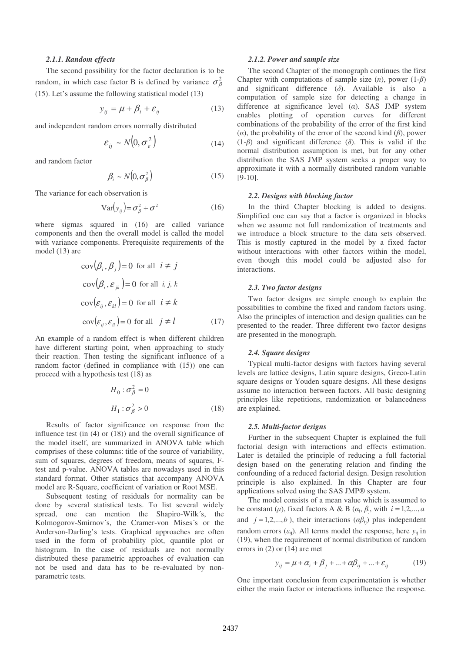#### *2.1.1. Random effects*

The second possibility for the factor declaration is to be random, in which case factor B is defined by variance  $\sigma_{\beta}^2$ (15). Let's assume the following statistical model (13)

$$
y_{ij} = \mu + \beta_i + \varepsilon_{ij} \tag{13}
$$

and independent random errors normally distributed

$$
\varepsilon_{ij} \sim N\left(0, \sigma_e^2\right) \tag{14}
$$

and random factor

$$
\beta_i \sim N(0, \sigma_\beta^2) \tag{15}
$$

The variance for each observation is

$$
Var(y_{ij}) = \sigma_{\beta}^2 + \sigma^2
$$
 (16)

where sigmas squared in (16) are called variance components and then the overall model is called the model with variance components. Prerequisite requirements of the model (13) are

$$
cov(\beta_i, \beta_j) = 0 \text{ for all } i \neq j
$$
  
\n
$$
cov(\beta_i, \varepsilon_{jk}) = 0 \text{ for all } i, j, k
$$
  
\n
$$
cov(\varepsilon_{ij}, \varepsilon_{kl}) = 0 \text{ for all } i \neq k
$$
  
\n
$$
cov(\varepsilon_{ij}, \varepsilon_{il}) = 0 \text{ for all } j \neq l
$$
 (17)

An example of a random effect is when different children have different starting point, when approaching to study their reaction. Then testing the significant influence of a random factor (defined in compliance with (15)) one can proceed with a hypothesis test (18) as

$$
H_0: \sigma_\beta^2 = 0
$$
  

$$
H_1: \sigma_\beta^2 > 0
$$
 (18)

Results of factor significance on response from the influence test (in (4) or (18)) and the overall significance of the model itself, are summarized in ANOVA table which comprises of these columns: title of the source of variability, sum of squares, degrees of freedom, means of squares, Ftest and p-value. ANOVA tables are nowadays used in this standard format. Other statistics that accompany ANOVA model are R-Square, coefficient of variation or Root MSE.

Subsequent testing of residuals for normality can be done by several statistical tests. To list several widely spread, one can mention the Shapiro-Wilk´s, the Kolmogorov-Smirnov´s, the Cramer-von Mises´s or the Anderson-Darling's tests. Graphical approaches are often used in the form of probability plot, quantile plot or histogram. In the case of residuals are not normally distributed these parametric approaches of evaluation can not be used and data has to be re-evaluated by nonparametric tests.

#### *2.1.2. Power and sample size*

The second Chapter of the monograph continues the first Chapter with computations of sample size  $(n)$ , power  $(1-\beta)$ and significant difference  $(\delta)$ . Available is also a computation of sample size for detecting a change in difference at significance level  $(a)$ . SAS JMP system enables plotting of operation curves for different combinations of the probability of the error of the first kind ( $\alpha$ ), the probability of the error of the second kind ( $\beta$ ), power  $(1-\beta)$  and significant difference  $(\delta)$ . This is valid if the normal distribution assumption is met, but for any other distribution the SAS JMP system seeks a proper way to approximate it with a normally distributed random variable [9-10].

#### *2.2. Designs with blocking factor*

In the third Chapter blocking is added to designs. Simplified one can say that a factor is organized in blocks when we assume not full randomization of treatments and we introduce a block structure to the data sets observed. This is mostly captured in the model by a fixed factor without interactions with other factors within the model, even though this model could be adjusted also for interactions.

#### *2.3. Two factor designs*

Two factor designs are simple enough to explain the possibilities to combine the fixed and random factors using. Also the principles of interaction and design qualities can be presented to the reader. Three different two factor designs are presented in the monograph.

#### *2.4. Square designs*

Typical multi-factor designs with factors having several levels are lattice designs, Latin square designs, Greco-Latin square designs or Youden square designs. All these designs assume no interaction between factors. All basic designing principles like repetitions, randomization or balancedness are explained.

#### *2.5. Multi-factor designs*

Further in the subsequent Chapter is explained the full factorial design with interactions and effects estimation. Later is detailed the principle of reducing a full factorial design based on the generating relation and finding the confounding of a reduced factorial design. Design resolution principle is also explained. In this Chapter are four applications solved using the SAS JMP® system.

The model consists of a mean value which is assumed to be constant ( $\mu$ ), fixed factors A & B ( $\alpha_i$ ,  $\beta_j$ , with  $i = 1, 2, \dots, a$ and  $j = 1, 2, \dots, b$ , their interactions  $(\alpha \beta_{ij})$  plus independent random errors  $(\varepsilon_{ij})$ . All terms model the response, here  $y_{ij}$  in (19), when the requirement of normal distribution of random errors in (2) or (14) are met

$$
y_{ij} = \mu + \alpha_i + \beta_j + \dots + \alpha \beta_{ij} + \dots + \varepsilon_{ij}
$$
 (19)

One important conclusion from experimentation is whether either the main factor or interactions influence the response.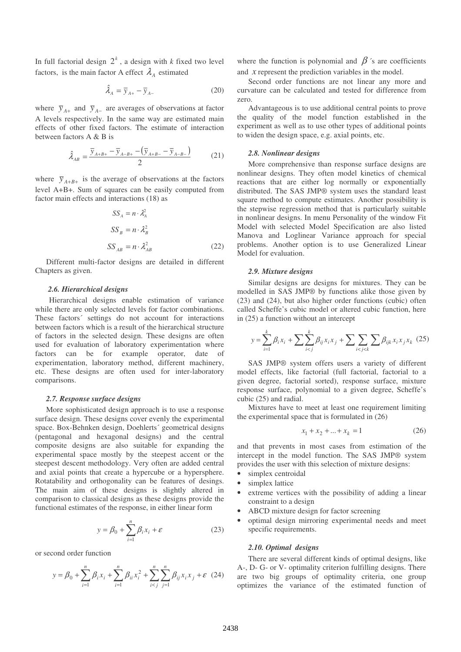In full factorial design  $2^k$ , a design with *k* fixed two level factors, is the main factor A effect  $\lambda_A$  estimated

$$
\hat{\lambda}_A = \overline{y}_{A+} - \overline{y}_{A-} \tag{20}
$$

where  $\bar{y}_{A+}$  and  $\bar{y}_{A-}$  are averages of observations at factor A levels respectively. In the same way are estimated main effects of other fixed factors. The estimate of interaction between factors A & B is

$$
\hat{\lambda}_{AB} = \frac{\bar{y}_{A+B+} - \bar{y}_{A-B+} - (\bar{y}_{A+B-} - \bar{y}_{A-B-})}{2}
$$
(21)

where  $\bar{y}_{A+B+}$  is the average of observations at the factors level A+B+. Sum of squares can be easily computed from factor main effects and interactions (18) as

$$
SS_A = n \cdot \lambda_A^2
$$
  
\n
$$
SS_B = n \cdot \lambda_B^2
$$
  
\n
$$
SS_{AB} = n \cdot \lambda_{AB}^2
$$
 (22)

Different multi-factor designs are detailed in different Chapters as given.

#### *2.6. Hierarchical designs*

Hierarchical designs enable estimation of variance while there are only selected levels for factor combinations. These factors´ settings do not account for interactions between factors which is a result of the hierarchical structure of factors in the selected design. These designs are often used for evaluation of laboratory experimentation where factors can be for example operator, date of experimentation, laboratory method, different machinery, etc. These designs are often used for inter-laboratory comparisons.

#### *2.7. Response surface designs*

More sophisticated design approach is to use a response surface design. These designs cover evenly the experimental space. Box-Behnken design, Doehlerts´ geometrical designs (pentagonal and hexagonal designs) and the central composite designs are also suitable for expanding the experimental space mostly by the steepest accent or the steepest descent methodology. Very often are added central and axial points that create a hypercube or a hypersphere. Rotatability and orthogonality can be features of desings. The main aim of these designs is slightly altered in comparison to classical designs as these designs provide the functional estimates of the response, in either linear form

$$
y = \beta_0 + \sum_{i=1}^{n} \beta_i x_i + \varepsilon
$$
 (23)

or second order function

$$
y = \beta_0 + \sum_{i=1}^n \beta_i x_i + \sum_{i=1}^n \beta_{ii} x_i^2 + \sum_{i < j}^n \sum_{j=1}^n \beta_{ij} x_i x_j + \varepsilon \tag{24}
$$

where the function is polynomial and  $\beta$ 's are coefficients and *x* represent the prediction variables in the model.

Second order functions are not linear any more and curvature can be calculated and tested for difference from zero.

Advantageous is to use additional central points to prove the quality of the model function established in the experiment as well as to use other types of additional points to widen the design space, e.g. axial points, etc.

#### *2.8. Nonlinear designs*

More comprehensive than response surface designs are nonlinear designs. They often model kinetics of chemical reactions that are either log normally or exponentially distributed. The SAS JMP*®* system uses the standard least square method to compute estimates. Another possibility is the stepwise regression method that is particularly suitable in nonlinear designs. In menu Personality of the window Fit Model with selected Model Specification are also listed Manova and Loglinear Variance approach for special problems. Another option is to use Generalized Linear Model for evaluation.

#### *2.9. Mixture designs*

Similar designs are designs for mixtures. They can be modelled in SAS JMP*®* by functions alike those given by (23) and (24), but also higher order functions (cubic) often called Scheffe's cubic model or altered cubic function, here in (25) a function without an intercept

$$
y = \sum_{i=1}^{k} \beta_i x_i + \sum \sum_{i < j}^{k} \beta_{ij} x_i x_j + \sum \sum_{i < j < k} \sum \beta_{ijk} x_i x_j x_k \tag{25}
$$

SAS JMP® system offers users a variety of different model effects, like factorial (full factorial, factorial to a given degree, factorial sorted), response surface, mixture response surface, polynomial to a given degree, Scheffe's cubic (25) and radial.

Mixtures have to meet at least one requirement limiting the experimental space that is formulated in (26)

$$
x_1 + x_2 + \dots + x_k = 1 \tag{26}
$$

and that prevents in most cases from estimation of the intercept in the model function. The SAS JMP*®* system provides the user with this selection of mixture designs:

- simplex centroidal
- simplex lattice
- extreme vertices with the possibility of adding a linear constraint to a design
- ABCD mixture design for factor screening
- optimal design mirroring experimental needs and meet specific requirements.

# *2.10. Optimal designs*

There are several different kinds of optimal designs, like A-, D- G- or V- optimality criterion fulfilling designs. There are two big groups of optimality criteria, one group optimizes the variance of the estimated function of